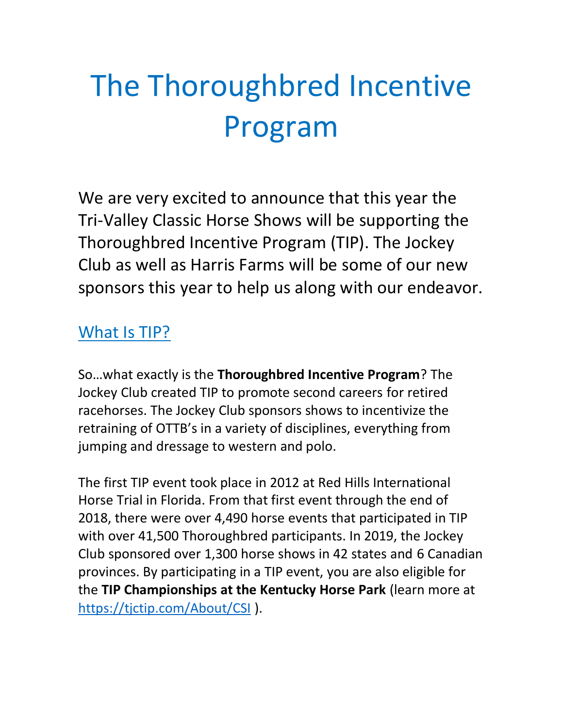# The Thoroughbred Incentive Program

We are very excited to announce that this year the Tri-Valley Classic Horse Shows will be supporting the Thoroughbred Incentive Program (TIP). The Jockey Club as well as Harris Farms will be some of our new sponsors this year to help us along with our endeavor.

#### What Is TIP?

So…what exactly is the **Thoroughbred Incentive Program**? The Jockey Club created TIP to promote second careers for retired racehorses. The Jockey Club sponsors shows to incentivize the retraining of OTTB's in a variety of disciplines, everything from jumping and dressage to western and polo.

The first TIP event took place in 2012 at Red Hills International Horse Trial in Florida. From that first event through the end of 2018, there were over 4,490 horse events that participated in TIP with over 41,500 Thoroughbred participants. In 2019, the Jockey Club sponsored over 1,300 horse shows in 42 states and 6 Canadian provinces. By participating in a TIP event, you are also eligible for the **TIP Championships at the Kentucky Horse Park** (learn more at <https://tjctip.com/About/CSI> ).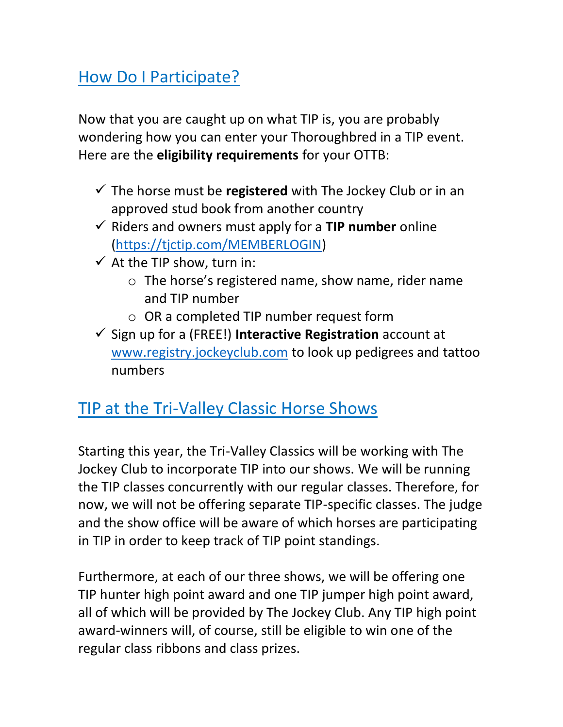### How Do I Participate?

Now that you are caught up on what TIP is, you are probably wondering how you can enter your Thoroughbred in a TIP event. Here are the **eligibility requirements** for your OTTB:

- $\checkmark$  The horse must be **registered** with The Jockey Club or in an approved stud book from another country
- ✓ Riders and owners must apply for a **TIP number** online [\(https://tjctip.com/MEMBERLOGIN\)](https://tjctip.com/MEMBERLOGIN)
- $\checkmark$  At the TIP show, turn in:
	- o The horse's registered name, show name, rider name and TIP number
	- o OR a completed TIP number request form
- ✓ Sign up for a (FREE!) **Interactive Registration** account at [www.registry.jockeyclub.com](http://www.registry.jockeyclub.com/) to look up pedigrees and tattoo numbers

### TIP at the Tri-Valley Classic Horse Shows

Starting this year, the Tri-Valley Classics will be working with The Jockey Club to incorporate TIP into our shows. We will be running the TIP classes concurrently with our regular classes. Therefore, for now, we will not be offering separate TIP-specific classes. The judge and the show office will be aware of which horses are participating in TIP in order to keep track of TIP point standings.

Furthermore, at each of our three shows, we will be offering one TIP hunter high point award and one TIP jumper high point award, all of which will be provided by The Jockey Club. Any TIP high point award-winners will, of course, still be eligible to win one of the regular class ribbons and class prizes.